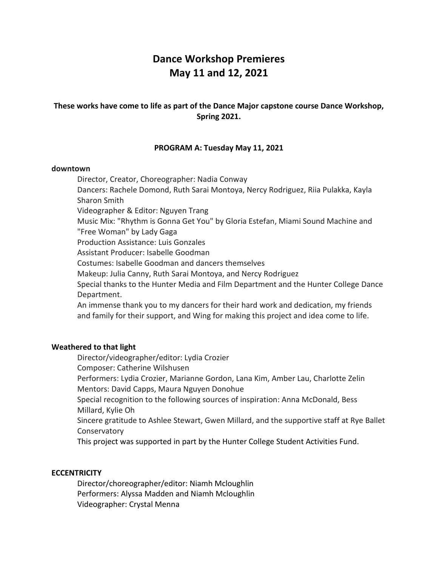# **Dance Workshop Premieres May 11 and 12, 2021**

## **These works have come to life as part of the Dance Major capstone course Dance Workshop, Spring 2021.**

## **PROGRAM A: Tuesday May 11, 2021**

#### **downtown**

Director, Creator, Choreographer: Nadia Conway Dancers: Rachele Domond, Ruth Sarai Montoya, Nercy Rodriguez, Riia Pulakka, Kayla Sharon Smith Videographer & Editor: Nguyen Trang Music Mix: "Rhythm is Gonna Get You" by Gloria Estefan, Miami Sound Machine and "Free Woman" by Lady Gaga Production Assistance: Luis Gonzales Assistant Producer: Isabelle Goodman Costumes: Isabelle Goodman and dancers themselves Makeup: Julia Canny, Ruth Sarai Montoya, and Nercy Rodriguez Special thanks to the Hunter Media and Film Department and the Hunter College Dance Department. An immense thank you to my dancers for their hard work and dedication, my friends and family for their support, and Wing for making this project and idea come to life.

## **Weathered to that light**

Director/videographer/editor: Lydia Crozier Composer: Catherine Wilshusen Performers: Lydia Crozier, Marianne Gordon, Lana Kim, Amber Lau, Charlotte Zelin Mentors: David Capps, Maura Nguyen Donohue Special recognition to the following sources of inspiration: Anna McDonald, Bess Millard, Kylie Oh Sincere gratitude to Ashlee Stewart, Gwen Millard, and the supportive staff at Rye Ballet Conservatory This project was supported in part by the Hunter College Student Activities Fund.

## **ECCENTRICITY**

Director/choreographer/editor: Niamh Mcloughlin Performers: Alyssa Madden and Niamh Mcloughlin Videographer: Crystal Menna